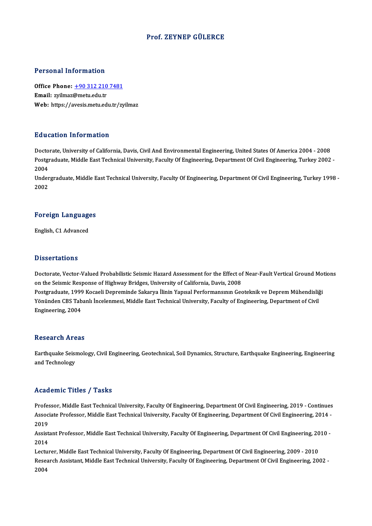#### Prof. ZEYNEP GÜLERCE

#### Personal Information

Personal Information<br>Office Phone: <u>+90 312 210 7481</u><br>Email: wilmar@matu.edu.tr office Phone: <u>+90 312 210</u><br>Email: zyilmaz@metu.edu.tr<br>Web: https://avesis.metu.ed Email: zyilmaz@metu.edu.tr<br>Web: https://a[vesis.metu.edu.tr/zy](tel:+90 312 210 7481)ilmaz

#### Education Information

Doctorate, University of California, Davis, Civil And Environmental Engineering, United States Of America 2004 - 2008 Pulusation Timot Inderon<br>Doctorate, University of California, Davis, Civil And Environmental Engineering, United States Of America 2004 - 2008<br>Postgraduate, Middle East Technical University, Faculty Of Engineering, Departm Docto<br>Postgi<br>2004<br>Under Postgraduate, Middle East Technical University, Faculty Of Engineering, Department Of Civil Engineering, Turkey 2002 -<br>2004<br>Undergraduate, Middle East Technical University, Faculty Of Engineering, Department Of Civil Engin

2004<br>Undergraduate, Middle East Technical University, Faculty Of Engineering, Department Of Civil Engineering, Turkey 1998 -<br>2002

# <sub>2002</sub><br>Foreign Languages F<mark>oreign Languag</mark>e<br>English, C1 Advanced

English, C1 Advanced<br>Dissertations

Dissertations<br>Doctorate, Vector-Valued Probabilistic Seismic Hazard Assessment for the Effect of Near-Fault Vertical Ground Motions<br>on the Seismic Besponse of Highway Pridges, University of California, Davis, 2008 on the Seismic Response of Highway Bridges, University of California, Davis, 2008 Doctorate, Vector-Valued Probabilistic Seismic Hazard Assessment for the Effect of Near-Fault Vertical Ground Mo<br>on the Seismic Response of Highway Bridges, University of California, Davis, 2008<br>Postgraduate, 1999 Kocaeli Postgraduate, 1999 Kocaeli Depreminde Sakarya İlinin Yapısal Performansının Geoteknik ve Deprem Mühendisliği<br>Yönünden CBS Tabanlı İncelenmesi, Middle East Technical University, Faculty of Engineering, Department of Civil Engineering,2004

#### **Research Areas**

Research Areas<br>Earthquake Seismology, Civil Engineering, Geotechnical, Soil Dynamics, Structure, Earthquake Engineering, Engineering<br>and Technology resear en 111 e<br>Earthquake Seisi<br>and Technology

# and Technology<br>Academic Titles / Tasks

Academic Titles / Tasks<br>Professor, Middle East Technical University, Faculty Of Engineering, Department Of Civil Engineering, 2019 - Continues<br>Associate Professor, Middle Fest Technical University, Faculty Of Engineering, AssociateMice Profes / Profes<br>Professor, Middle East Technical University, Faculty Of Engineering, Department Of Civil Engineering, 2019 - Continues<br>Associate Professor, Middle East Technical University, Faculty Of Enginee Profes<br>Assoc<br>2019<br>Assist Associate Professor, Middle East Technical University, Faculty Of Engineering, Department Of Civil Engineering, 2014 -<br>2019<br>Assistant Professor, Middle East Technical University, Faculty Of Engineering, Department Of Civil

2019<br>Assist<br>2014<br>Lectur Assistant Professor, Middle East Technical University, Faculty Of Engineering, Department Of Civil Engineering, 20<br>2014<br>Lecturer, Middle East Technical University, Faculty Of Engineering, Department Of Civil Engineering, 2

2014<br>Lecturer, Middle East Technical University, Faculty Of Engineering, Department Of Civil Engineering, 2009 - 2010<br>Research Assistant, Middle East Technical University, Faculty Of Engineering, Department Of Civil Engine Lecturer, Middle East Technical University, Faculty Of Engineering, Department Of Civil Engineering, 2009 - 2010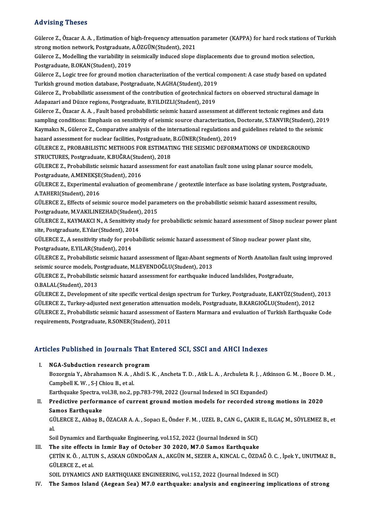#### Advising Theses

Advising Theses<br>Gülerce Z., Özacar A. A. , Estimation of high-frequency attenuation parameter (KAPPA) for hard rock stations of Turkish<br>streng metien netwerk, Restansduste, A ÖZCÜN(Student), 2021 stra vienny sinceces<br>Gülerce Z., Özacar A. A. , Estimation of high-frequency attenuation<br>strong motion network, Postgraduate, A.ÖZGÜN(Student), 2021<br>Cülerce Z. Modelling the veriability in esigmicelly indused slope ( Gülerce Z., Özacar A. A. , Estimation of high-frequency attenuation parameter (KAPPA) for hard rock stations of<br>strong motion network, Postgraduate, A.ÖZGÜN(Student), 2021<br>Gülerce Z., Modelling the variability in seismical

strong motion network, Postgraduate, J.<br>Gülerce Z., Modelling the variability in s<br>Postgraduate, B.OKAN(Student), 2019<br>Gülerce Z. J. ogis tree for ground motio Gülerce Z., Modelling the variability in seismically induced slope displacements due to ground motion selection,<br>Postgraduate, B.OKAN(Student), 2019<br>Gülerce Z., Logic tree for ground motion characterization of the vertical

Postgraduate, B.OKAN(Student), 2019<br>Gülerce Z., Logic tree for ground motion characterization of the vertical c<br>Turkish ground motion database, Postgraduate, N.AGHA(Student), 2019<br>Cülerce Z., Prebabilistic assessment of th Gülerce Z., Logic tree for ground motion characterization of the vertical component: A case study based on update<br>Turkish ground motion database, Postgraduate, N.AGHA(Student), 2019<br>Gülerce Z., Probabilistic assessment of

Turkish ground motion database, Postgraduate, N.AGHA(Student), 2019<br>Gülerce Z., Probabilistic assessment of the contribution of geotechnical factors on observed structural damage in<br>Adapazari and Düzce regions, Postgraduat

Gülerce Z., Özacar A.A., Fault based probabilistic seismic hazard assessment at different tectonic regimes and data Adapazari and Düzce regions, Postgraduate, B.YILDIZLI(Student), 2019<br>Gülerce Z., Özacar A. A. , Fault based probabilistic seismic hazard assessment at different tectonic regimes and data<br>sampling conditions: Emphasis on se Gülerce Z., Özacar A. A. , Fault based probabilistic seismic hazard assessment at different tectonic regimes and data<br>sampling conditions: Emphasis on sensitivity of seismic source characterization, Doctorate, S.TANVIR(Stu sampling conditions: Emphasis on sensitivity of seismic source characterization, l<br>Kaymakcı N., Gülerce Z., Comparative analysis of the international regulations and<br>hazard assessment for nuclear facilities, Postgraduate, Kaymakcı N., Gülerce Z., Comparative analysis of the international regulations and guidelines related to the sei<br>hazard assessment for nuclear facilities, Postgraduate, B.GÜNER(Student), 2019<br>GÜLERCE Z., PROBABILISTIC METH

hazard assessment for nuclear facilities, Postgraduate,<br>GÜLERCE Z., PROBABILISTIC METHODS FOR ESTIMATI<br>STRUCTURES, Postgraduate, K.BUĞRA(Student), 2018<br>CÜLERCE Z., Probabilistic seismis barard assessment fe GÜLERCE Z., PROBABILISTIC METHODS FOR ESTIMATING THE SEISMIC DEFORMATIONS OF UNDERGROUND<br>STRUCTURES, Postgraduate, K.BUĞRA(Student), 2018<br>GÜLERCE Z., Probabilistic seismic hazard assessment for east anatolian fault zone us

STRUCTURES, Postgraduate, K.BUĞRA(Student)<br>GÜLERCE Z., Probabilistic seismic hazard as<br>Postgraduate, A.MENEKŞE(Student), 2016<br>CÜLERCE Z., Eunenimentel sygluation of 30 GÜLERCE Z., Probabilistic seismic hazard assessment for east anatolian fault zone using planar source models,<br>Postgraduate, A.MENEKŞE(Student), 2016<br>GÜLERCE Z., Experimental evaluation of geomembrane / geotextile interface

Postgraduate, A.MENEKȘE<br>GÜLERCE Z., Experimental<br>A.TAHERI(Student), 2016<br>CÜLERCE Z., Effects ef sejs GÜLERCE Z., Experimental evaluation of geomembrane / geotextile interface as base isolating system, Postgradu<br>A.TAHERI(Student), 2016<br>GÜLERCE Z., Effects of seismic source model parameters on the probabilistic seismic haza

A.TAHERI(Student), 2016<br>GÜLERCE Z., Effects of seismic source model parameters on the probabilistic seismic hazard assessment results,<br>Postgraduate, M.VAKILINEZHAD(Student), 2015 GÜLERCE Z., Effects of seismic source model parameters on the probabilistic seismic hazard assessment results,<br>Postgraduate, M.VAKILINEZHAD(Student), 2015<br>GÜLERCE Z., KAYMAKCI N., A Sensitivity study for probabilictic seis

Postgraduate, M.VAKILINEZHAD(Student)<br>GÜLERCE Z., KAYMAKCI N., A Sensitivity st<br>site, Postgraduate, E.Yılar(Student), 2014<br>CÜLERCE Z. A sensitivity study for probab GÜLERCE Z., KAYMAKCI N., A Sensitivity study for probabilictic seismic hazard assessment of Sinop nuclear po<br>site, Postgraduate, E.Yılar(Student), 2014<br>GÜLERCE Z., A sensitivity study for probabilistic seismic hazard asses

site, Postgraduate, E.Yılar(Student), 2014<br>GÜLERCE Z., A sensitivity study for probabilistic seismic hazard assessment of Sinop nuclear power plant site,<br>Postgraduate, E.YILAR(Student), 2014 GÜLERCE Z., A sensitivity study for probabilistic seismic hazard assessment of Sinop nuclear power plant site,<br>Postgraduate, E.YILAR(Student), 2014<br>GÜLERCE Z., Probabilistic seismic hazard assessment of Ilgaz-Abant segment

Postgraduate, E.YILAR(Student), 2014<br>GÜLERCE Z., Probabilistic seismic hazard assessment of Ilgaz-Abant seg<br>seismic source models, Postgraduate, M.LEVENDOĞLU(Student), 2013<br>CÜLERCE Z., Probabilistic seismic bazard assessme GÜLERCE Z., Probabilistic seismic hazard assessment of Ilgaz-Abant segments of North Anatolian fault i<br>seismic source models, Postgraduate, M.LEVENDOĞLU(Student), 2013<br>GÜLERCE Z., Probabilistic seismic hazard assessment fo

seismic source models, Po.<br>GÜLERCE Z., Probabilistic<br>O.BALAL(Student), 2013<br>CÜLERCE Z., Dovelopmen GÜLERCE Z., Probabilistic seismic hazard assessment for earthquake induced landslides, Postgraduate,<br>O.BALAL(Student), 2013<br>GÜLERCE Z., Development of site specific vertical design spectrum for Turkey, Postgraduate, E.AKYÜ

O.BALAL(Student), 2013<br>GÜLERCE Z., Development of site specific vertical design spectrum for Turkey, Postgraduate, E.AKYÜZ(Student),<br>GÜLERCE Z., Turkey-adjusted next generation attenuation models, Postgraduate, B.KARGIOĞLU GÜLERCE Z., Development of site specific vertical design spectrum for Turkey, Postgraduate, E.AKYÜZ(Student), 2013<br>GÜLERCE Z., Turkey-adjusted next generation attenuation models, Postgraduate, B.KARGIOĞLU(Student), 2012<br>GÜ GÜLERCE Z., Turkey-adjusted next generation attenuat<br>GÜLERCE Z., Probabilistic seismic hazard assessment o<br>requirements, Postgraduate, R.SONER(Student), 2011

# requirements, Postgraduate, R.SONER(Student), 2011<br>Articles Published in Journals That Entered SCI, SSCI and AHCI Indexes **Tricles Published in Journals That I.<br>I. NGA-Subduction research program<br>Begengnie Y. Abrahamson N.A., Abdi S. I**

NGA-Subduction research program<br>Bozorgnia Y., Abrahamson N. A. , Ahdi S. K. , Ancheta T. D. , Atik L. A. , Archuleta R. J. , Atkinson G. M. , Boore D. M. ,<br>Campbell K.W. S. J. Chiou P. et al. NGA-Subduction research pro<br>Bozorgnia Y., Abrahamson N.A., A.<br>Campbell K.W., S-J Chiou B., et al. Bozorgnia Y., Abrahamson N. A. , Ahdi S. K. , Ancheta T. D. , Atik L. A. , Archuleta R. J. , Atl<br>Campbell K. W. , S-J Chiou B., et al.<br>Earthquake Spectra, vol.38, no.2, pp.783-798, 2022 (Journal Indexed in SCI Expanded)<br>Pr

#### Campbell K. W. , S-J Chiou B., et al.<br>Earthquake Spectra, vol.38, no.2, pp.783-798, 2022 (Journal Indexed in SCI Expanded)<br>II. Predictive performance of current ground motion models for recorded strong motions in 2020<br>Samo Earthquake Spectra, v<br>Predictive perform<br>Samos Earthquake<br>CÜLEPCE 7 Althas P Predictive performance of current ground motion models for recorded strong motions in 2020<br>Samos Earthquake<br>GÜLERCE Z., Akbaş B., ÖZACAR A. A. , Sopacı E., Önder F. M. , UZEL B., CAN G., ÇAKIR E., ILGAÇ M., SÖYLEMEZ B., et

Sa<br>GÜ<br>al GÜLERCE Z., Akbaş B., ÖZACAR A. A. , Sopacı E., Önder F. M. , UZEL B., CAN G., ÇAKIR<br>al.<br>Soil Dynamics and Earthquake Engineering, vol.152, 2022 (Journal Indexed in SCI)<br>The site effects in Ismin Boy of Ostober 20.2020, M7

al.<br>II. Soil Dynamics and Earthquake Engineering, vol.152, 2022 (Journal Indexed in SCI)<br>III. The site effects in Izmir Bay of October 30 2020, M7.0 Samos Earthquake

Soil Dynamics and Earthquake Engineering, vol.152, 2022 (Journal Indexed in SCI)<br>The site effects in Izmir Bay of October 30 2020, M7.0 Samos Earthquake<br>ÇETİN K. Ö. , ALTUN S., ASKAN GÜNDOĞAN A., AKGÜN M., SEZER A., KINCAL The site effects<br>CETIN K. Ö. , ALTU<br>GÜLERCE Z., et al.<br>SOU DYNAMICS 4 CETIN K. Ö. , ALTUN S., ASKAN GÜNDOĞAN A., AKGÜN M., SEZER A., KINCAL C., ÖZDAĞ Ö. C.<br>GÜLERCE Z., et al.<br>SOIL DYNAMICS AND EARTHQUAKE ENGINEERING, vol.152, 2022 (Journal Indexed in SCI)<br>The Sames Joland (Aegean Sea) M7 0 e GÜLERCE Z., et al.<br>SOIL DYNAMICS AND EARTHQUAKE ENGINEERING, vol.152, 2022 (Journal Indexed in SCI)<br>IV. The Samos Island (Aegean Sea) M7.0 earthquake: analysis and engineering implications of strong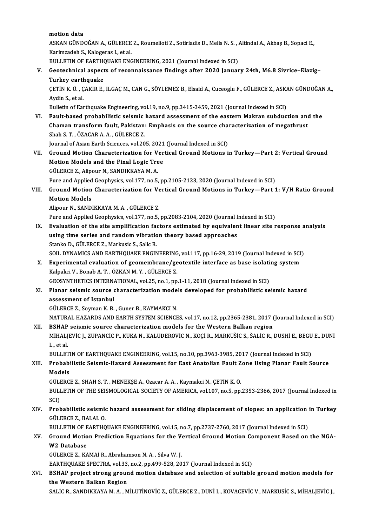motion data

motion data<br>ASKAN GÜNDOĞAN A., GÜLERCE Z., Roumelioti Z., Sotiriadis D., Melis N. S. , Altindal A., Akbaş B., Sopaci E.,<br>Karimzadeh S. Kalaganas L. et al. motion data<br>ASKAN GÜNDOĞAN A., GÜLERCE<br>Karimzadeh S., Kalogeras I., et al.<br>PULLETIN OF FARTHOUAKE ENG ASKAN GÜNDOĞAN A., GÜLERCE Z., Roumelioti Z., Sotiriadis D., Melis N. S. , .<br>Karimzadeh S., Kalogeras I., et al.<br>BULLETIN OF EARTHQUAKE ENGINEERING, 2021 (Journal Indexed in SCI)<br>Costashnisal aspects of pesonnaissanse find

Karimzadeh S., Kalogeras I., et al.<br>BULLETIN OF EARTHQUAKE ENGINEERING, 2021 (Journal Indexed in SCI)<br>V. Geotechnical aspects of reconnaissance findings after 2020 January 24th, M6.8 Sivrice–Elazig– **BULLETIN OF EARTHO**<br>Geotechnical aspect<br>Turkey earthquake<br>CETIN K Ö. CAKIP E

ÇETİN K. Ö. , ÇAKIR E., ILGAÇ M., CAN G., SÖYLEMEZ B., Elsaid A., Cuceoglu F., GÜLERCE Z., ASKAN GÜNDOĞAN A.,<br>Aydin S., et al. Turkey earth<br>ÇETİN K. Ö. , Ç<br>Aydin S., et al.<br>Pulletin ef For

Bulletin of Earthquake Engineering, vol.19, no.9, pp.3415-3459, 2021 (Journal Indexed in SCI)

VI. Fault-based probabilistic seismic hazard assessment of the eastern Makran subduction and the Bulletin of Earthquake Engineering, vol.19, no.9, pp.3415-3459, 2021 (Journal Indexed in SCI)<br>Fault-based probabilistic seismic hazard assessment of the eastern Makran subduction and<br>Chaman transform fault, Pakistan: Empha Fault-based probabilistic seismic<br>Chaman transform fault, Pakistan<br>Shah S. T. , ÖZACAR A. A. , GÜLERCE Z.<br>Journal of Asian Farth Ssianses vol 20 Chaman transform fault, Pakistan: Emphasis on the source cha<br>Shah S. T. , ÖZACAR A. A. , GÜLERCE Z.<br>Journal of Asian Earth Sciences, vol.205, 2021 (Journal Indexed in SCI)<br>Cround Motion Characterization for Vertical Cround

Shah S. T. , ÖZACAR A. A. , GÜLERCE Z.<br>Journal of Asian Earth Sciences, vol.205, 2021 (Journal Indexed in SCI)<br>VII. Ground Motion Characterization for Vertical Ground Motions in Turkey—Part 2: Vertical Ground<br>Motion Models Journal of Asian Earth Sciences, vol.205, 2021<br>Ground Motion Characterization for Ver<br>Motion Models and the Final Logic Tree Ground Motion Characterization for V<br>Motion Models and the Final Logic Tre<br>GÜLERCE Z., Alipour N., SANDIKKAYA M. A.<br>Pure and Annlied Coophysics vol 177, no 5 Motion Models and the Final Logic Tree<br>GÜLERCE Z., Alipour N., SANDIKKAYA M. A.<br>Pure and Applied Geophysics, vol.177, no.5, pp.2105-2123, 2020 (Journal Indexed in SCI)<br>Cround Motion Chanactorization for Vortical Cround Mot

GÜLERCE Z., Alipour N., SANDIKKAYA M. A.<br>Pure and Applied Geophysics, vol.177, no.5, pp.2105-2123, 2020 (Journal Indexed in SCI)<br>VIII. Ground Motion Characterization for Vertical Ground Motions in Turkey—Part 1: V/H Ra Pure and Applied<br>Ground Motion<br>Motion Models<br>Alinoun M. SAND Ground Motion Characterization for Ve<br>Motion Models<br>Alipour N., SANDIKKAYA M. A. , GÜLERCE Z.<br>Pure and Annlied Coophysics vol.177, no 5 Motion Models<br>Alipour N., SANDIKKAYA M. A. , GÜLERCE Z.<br>Pure and Applied Geophysics, vol.177, no.5, pp.2083-2104, 2020 (Journal Indexed in SCI)

- IX. Evaluation of the site amplification factors estimated by equivalent linear site response analysis Pure and Applied Geophysics, vol.177, no.5, pp.2083-2104, 2020 (Journal I<br>Evaluation of the site amplification factors estimated by equivalen<br>using time series and random vibration theory based approaches<br>Stanke D. CÜLEPCE Evaluation of the site amplification factorial<br>using time series and random vibration<br>Stanko D., GÜLERCE Z., Markusic S., Salic R.<br>SOU, DYNAMICS AND FARTHOUAKE ENCIN using time series and random vibration theory based approaches<br>Stanko D., GÜLERCE Z., Markusic S., Salic R.<br>SOIL DYNAMICS AND EARTHQUAKE ENGINEERING, vol.117, pp.16-29, 2019 (Journal Indexed in SCI)<br>Experimental evaluation Stanko D., GÜLERCE Z., Markusic S., Salic R.<br>SOIL DYNAMICS AND EARTHQUAKE ENGINEERING, vol.117, pp.16-29, 2019 (Journal Indexed in SCI)<br>X. Experimental evaluation of geomembrane/geotextile interface as base isolating syste
- SOIL DYNAMICS AND EARTHQUAKE ENGINEERING<br>Experimental evaluation of geomembrane/ge<br>Kalpakci V., Bonab A. T. , ÖZKAN M. Y. , GÜLERCE Z.<br>CEOSVNTHETICS INTERNATIONAL .vol 25. no.1. nn X. Experimental evaluation of geomembrane/geotextile interface as base isolating system<br>Kalpakci V., Bonab A. T. , ÖZKAN M. Y. , GÜLERCE Z.<br>GEOSYNTHETICS INTERNATIONAL, vol.25, no.1, pp.1-11, 2018 (Journal Indexed in SCI) Kalpakci V., Bonab A. T. , ÖZKAN M. Y. , GÜLERCE Z.<br>GEOSYNTHETICS INTERNATIONAL, vol.25, no.1, pp.1-11, 2018 (Journal Indexed in SCI)<br>XI. Planar seismic source characterization models developed for probabilistic seismic ha

# GEOSYNTHETICS INTERNA<br>Planar seismic source<br>assessment of Istanbul<br>CÜLEDCE 7, Souman K, B Planar seismic source characterization mode<br>assessment of Istanbul<br>GÜLERCE Z., Soyman K. B. , Guner B., KAYMAKCI N.<br>MATURAL HAZARDS AND FARTH SYSTEM SCIENCE

assessment of Istanbul<br>GÜLERCE Z., Soyman K. B. , Guner B., KAYMAKCI N.<br>NATURAL HAZARDS AND EARTH SYSTEM SCIENCES, vol.17, no.12, pp.2365-2381, 2017 (Journal Indexed in SCI)<br>RSHAR sejamis seures sharesterization models for GÜLERCE Z., Soyman K. B., Guner B., KAYMAKCI N.<br>NATURAL HAZARDS AND EARTH SYSTEM SCIENCES, vol.17, no.12, pp.2365-2381, 2017 (<br>XII. BSHAP seismic source characterization models for the Western Balkan region<br>MinALIEVIC L. Z NATURAL HAZARDS AND EARTH SYSTEM SCIENCES, vol.17, no.12, pp.2365-2381, 2017 (Journal Indexed in SCI)<br>BSHAP seismic source characterization models for the Western Balkan region<br>MiHALJEVİC J., ZUPANCİC P., KUKA N., KALUDERO

XII. BSHAP seismic source characterization models for the Western Balkan region<br>MiHALJEVIC J., ZUPANCIC P., KUKA N., KALUDEROVIC N., KOÇI R., MARKUŠIC S., ŠALIC R.,<br>L., et al. MIHALJEVIC J., ZUPANCIC P., KUKA N., KALUDEROVIC N., KOÇI R., MARKUŠIC S., ŠALIC R., DUSHI E., BEGU E., DUNI

L., et al.<br>BULLETIN OF EARTHQUAKE ENGINEERING, vol.15, no.10, pp.3963-3985, 2017 (Journal Indexed in SCI)<br>XIII. Probabilistic Seismic-Hazard Assessment for East Anatolian Fault Zone Using Planar Fault Source<br>Medels BULLETIN OF EARTHQUAKE ENGINEERING, vol.15, no.10, pp.3963-3985, 2017 (Journal Indexed in SCI)<br>Probabilistic Seismic-Hazard Assessment for East Anatolian Fault Zone Using Planar Fault S<br>Models Probabilistic Seismic-Hazard Assessment for East Anatolian Fault Z<br>Models<br>GÜLERCE Z., SHAH S. T. , MENEKŞE A., Ozacar A. A. , Kaymakci N., ÇETİN K. Ö.<br>PULLETIN OF THE SEISMOLOCICAL SOCIETY OF AMERICA .vel 197, no 5, nn

GÜLERCE Z., SHAH S. T., MENEKŞE A., Ozacar A. A., Kaymakci N., ÇETİN K. Ö.

BULLETIN OF THE SEISMOLOGICAL SOCIETY OF AMERICA, vol.107, no.5, pp.2353-2366, 2017 (Journal Indexed in SCI) BULLETIN OF THE SEISMOLOGICAL SOCIETY OF AMERICA, vol.107, no.5, pp.2353-2366, 2017 (Journal Indexed in SCI)<br>SCI)<br>XIV. Probabilistic seismic hazard assessment for sliding displacement of slopes: an application in Turkey<br>CU

SCI)<br><mark>Probabilistic seismi</mark><br>GÜLERCE Z., BALAL O.<br>PULLETIN OF FAPTHO Probabilistic seismic hazard assessment for sliding displacement of slopes: an application<br>GÜLERCE Z., BALAL O.<br>BULLETIN OF EARTHQUAKE ENGINEERING, vol.15, no.7, pp.2737-2760, 2017 (Journal Indexed in SCI)<br>Cround Motion Pr

BULLETIN OF EARTHOUAKE ENGINEERING, vol.15, no.7, pp.2737-2760, 2017 (Journal Indexed in SCI)

# GÜLERCE Z., BALAL O.<br>BULLETIN OF EARTHQUAKE ENGINEERING, vol.15, no.7, pp.2737-2760, 2017 (Journal Indexed in SCI)<br>XV. Ground Motion Prediction Equations for the Vertical Ground Motion Component Based on the NGA-<br>W2 Dat W2 Database<br>GÜLERCE Z., KAMAİ R., Abrahamson N. A. , Silva W. J.<br>EARTHQUAKE SPECTRA, vol.33, no.2, pp.499-528, 2017 (Journal Indexed in SCI)<br>RSHAR project strong ground motion database and selection of suitable

GÜLERCE Z., KAMAİ R., Abrahamson N. A., Silva W. J.

#### XVI. BSHAP project strong ground motion database and selection of suitable ground motion models for the Western Balkan Region EARTHQUAKE SPECTRA, vol.33,<br>BSHAP project strong grour<br>the Western Balkan Region

SALİC R., SANDIKKAYA M. A., MİLUTİNOVİC Z., GÜLERCE Z., DUNİ L., KOVACEVİC V., MARKUSİC S., MİHALJEVİC J.,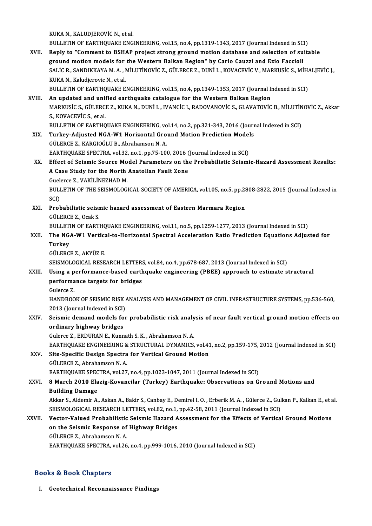KUKA N., KALUDJEROVİC N., et al.

KUKA N., KALUDJEROVİC N., et al.<br>BULLETIN OF EARTHQUAKE ENGINEERING, vol.15, no.4, pp.1319-1343, 2017 (Journal Indexed in SCI)<br>Bonly to "Comment to BSHAR preject strong spound motion database and selection of suits KUKA N., KALUDJEROVIC N., et al.<br>BULLETIN OF EARTHQUAKE ENGINEERING, vol.15, no.4, pp.1319-1343, 2017 (Journal Indexed in SCI)<br>XVII. Reply to "Comment to BSHAP project strong ground motion database and selection of suitabl

BULLETIN OF EARTHQUAKE ENGINEERING, vol.15, no.4, pp.1319-1343, 2017 (Journal Indexed in SC.<br>Reply to "Comment to BSHAP project strong ground motion database and selection of su<br>ground motion models for the Western Balkan Reply to "Comment to BSHAP project strong ground motion database and selection of suitable<br>ground motion models for the Western Balkan Region" by Carlo Cauzzi and Ezio Faccioli<br>SALİC R., SANDIKKAYA M. A. , MİLUTİNOVİC Z., ground motion models for the Western Balkan Region" by Carlo Cauzzi and Ezio Faccioli<br>SALIC R., SANDIKKAYA M. A. , MILUTINOVIC Z., GÜLERCE Z., DUNI L., KOVACEVIC V., MARKUSIC S., MI<br>KUKA N., Kaludjerovic N., et al. SALIC R., SANDIKKAYA M. A. , MILUTINOVIC Z., GÜLERCE Z., DUNI L., KOVACEVIC V., MARKUSIC S., MIH.<br>KUKA N., Kaludjerovic N., et al.<br>BULLETIN OF EARTHQUAKE ENGINEERING, vol.15, no.4, pp.1349-1353, 2017 (Journal Indexed in SC

BULLETIN OF EARTHQUAKE ENGINEERING, vol.15, no.4, pp.1349-1353, 2017 (Journal Indexed in SCI)<br>XVIII. An updated and unified earthquake catalogue for the Western Balkan Region

- BULLETIN OF EARTHQUAKE ENGINEERING, vol.15, no.4, pp.1349-1353, 2017 (Journal Indexed in SCI)<br>An updated and unified earthquake catalogue for the Western Balkan Region<br>MARKUSİC S., GÜLERCE Z., KUKA N., DUNİ L., IVANCİC I., An updated and unit<br>MARKUSİC S., GÜLERC.<br>S., KOVACEVİC S., et al.<br>PULLETIN OF FAPTHO MARKUSIC S., GÜLERCE Z., KUKA N., DUNİ L., IVANCIC I., RADOVANOVIC S., GLAVATOVIC B., MILUTIN<br>S., KOVACEVIC S., et al.<br>BULLETIN OF EARTHQUAKE ENGINEERING, vol.14, no.2, pp.321-343, 2016 (Journal Indexed in SCI)<br>Turkov, Adj BULLETIN OF EARTHQUAKE ENGINEERING, vol.14, no.2, pp.321-343, 2016 (Journal Indexed in SCI)
- S., KOVACEVIC S., et al.<br>BULLETIN OF EARTHQUAKE ENGINEERING, vol.14, no.2, pp.321-343, 2016 (Journ<br>XIX. Turkey-Adjusted NGA-W1 Horizontal Ground Motion Prediction Models<br>GÜLERCE Z., KARGIOĞLU B., Abrahamson N. A. Turkey-Adjusted NGA-W1 Horizontal Ground Motion Prediction Model<br>GÜLERCE Z., KARGIOĞLU B., Abrahamson N. A.<br>EARTHQUAKE SPECTRA, vol.32, no.1, pp.75-100, 2016 (Journal Indexed in SCI)<br>Effect of Seismis Source Model Beremate
- GÜLERCE Z., KARGIOĞLU B., Abrahamson N. A.<br>EARTHQUAKE SPECTRA, vol.32, no.1, pp.75-100, 2016 (Journal Indexed in SCI)<br>XX. Effect of Seismic Source Model Parameters on the Probabilistic Seismic-Hazard Assessment Results:<br>A EARTHQUAKE SPECTRA, vol.32, no.1, pp.75-100, 2016 (<br>Effect of Seismic Source Model Parameters on the<br>A Case Study for the North Anatolian Fault Zone<br>Cuelerse 7, MARILINEZHAD M Effect of Seismic Source Mo<br>A Case Study for the North<br>Guelerce Z., VAKİLİNEZHAD M.<br>BULLETIN OF THE SEISMOLOC. A Case Study for the North Anatolian Fault Zone<br>Guelerce Z., VAKİLİNEZHAD M.<br>BULLETIN OF THE SEISMOLOGICAL SOCIETY OF AMERICA, vol.105, no.5, pp.2808-2822, 2015 (Journal Indexed in<br>SCI) Guelerce Z., VAKİLİNEZHAD M.

BULLETIN OF THE SEISMOLOGICAL SOCIETY OF AMERICA, vol.105, no.5, pp.28<br>SCI)<br>XXI. Probabilistic seismic hazard assessment of Eastern Marmara Region SCI)<br><mark>Probabilistic seisr</mark><br>GÜLERCE Z., Ocak S.<br>PULLETIN OF FAPT

GÜLERCE Z., Ocak S.<br>BULLETIN OF EARTHQUAKE ENGINEERING, vol.11, no.5, pp.1259-1277, 2013 (Journal Indexed in SCI)

GÜLERCE Z., Ocak S.<br>BULLETIN OF EARTHQUAKE ENGINEERING, vol.11, no.5, pp.1259-1277, 2013 (Journal Indexed in SCI)<br>XXII. Turkey<br>Turkey **BULLET**<br>The NG.<br>Turkey<br>CÜLEPC The NGA-W1 Vertica<br>Turkey<br>GÜLERCE Z., AKYÜZ E.<br>SEISMOLOCICAL BESE Turkey<br>GÜLERCE Z., AKYÜZ E.<br>SEISMOLOGICAL RESEARCH LETTERS, vol.84, no.4, pp.678-687, 2013 (Journal Indexed in SCI)

## GÜLERCE Z., AKYÜZ E.<br>SEISMOLOGICAL RESEARCH LETTERS, vol.84, no.4, pp.678-687, 2013 (Journal Indexed in SCI)<br>XXIII. Using a performance-based earthquake engineering (PBEE) approach to estimate structural<br>performance target SEISMOLOGICAL RESEARCH LETTER:<br>Using a performance-based earth<br>performance targets for bridges<br>Culares 7 Using a p<br>performa<br>Gulerce Z.<br>HANDROO

performance targets for bridges<br>Gulerce Z.<br>HANDBOOK OF SEISMIC RISK ANALYSIS AND MANAGEMENT OF CIVIL INFRASTRUCTURE SYSTEMS, pp.536-560,<br>2013 (Jaurnal Indoved in SCD Gulerce Z.<br>HANDBOOK OF SEISMIC RISK .<br>2013 (Journal Indexed in SCI)<br>Seismis demand models for HANDBOOK OF SEISMIC RISK ANALYSIS AND MANAGEMENT OF CIVIL INFRASTRUCTURE SYSTEMS, pp.536-560,<br>2013 (Journal Indexed in SCI)<br>XXIV. Seismic demand models for probabilistic risk analysis of near fault vertical ground motion e

## 2013 (Journal Indexed in SCI)<br>Seismic demand models fo<br>ordinary highway bridges<br>Culares 7, EPDUPAN E, Kunn Seismic demand models for probabilistic risk analy<br>ordinary highway bridges<br>Gulerce Z., ERDURAN E., Kunnath S. K. , Abrahamson N. A.<br>EARTHOUAKE ENCINEERING & STRUCTURAL DYNAMICS ordinary highway bridges<br>Gulerce Z., ERDURAN E., Kunnath S. K. , Abrahamson N. A.<br>EARTHQUAKE ENGINEERING & STRUCTURAL DYNAMICS, vol.41, no.2, pp.159-175, 2012 (Journal Indexed in SCI)<br>Site Spesifis Design Spestre for Verti

## Gulerce Z., ERDURAN E., Kunnath S. K., Abrahamson N. A.<br>EARTHQUAKE ENGINEERING & STRUCTURAL DYNAMICS, vol.4:<br>XXV. Site-Specific Design Spectra for Vertical Ground Motion<br>GÜLERCE Z., Abrahamson N. A. EARTHQUAKE ENGINEERING &<br>Site-Specific Design Spectra<br>GÜLERCE Z., Abrahamson N. A.<br>EARTHOUAKE SPECTRA .vol 27

Site-Specific Design Spectra for Vertical Ground Motion<br>GÜLERCE Z., Abrahamson N. A.<br>EARTHQUAKE SPECTRA, vol.27, no.4, pp.1023-1047, 2011 (Journal Indexed in SCI)<br>8 March 2010 Elagis Kovansilar (Turkov) Farthausko: Observa

#### XXVI. 8 March 2010 Elazig-Kovancilar (Turkey) Earthquake: Observations on Ground Motions and EARTHQUAKE SPEC<br>8 March 2010 Ela<br>Building Damage<br>Akkar S. Aldomir A 8 March 2010 Elazig-Kovancilar (Turkey) Earthquake: Observations on Ground Motions and<br>Building Damage<br>Akkar S., Aldemir A., Askan A., Bakir S., Canbay E., Demirel I. O. , Erberik M. A. , Gülerce Z., Gulkan P., Kalkan E.,

Building Damage<br>Akkar S., Aldemir A., Askan A., Bakir S., Canbay E., Demirel I. O. , Erberik M. A. , Gülerce Z., Gul<br>SEISMOLOGICAL RESEARCH LETTERS, vol.82, no.1, pp.42-58, 2011 (Journal Indexed in SCI)<br>Vester Valued Prebe Akkar S., Aldemir A., Askan A., Bakir S., Canbay E., Demirel I. O. , Erberik M. A. , Gülerce Z., Gulkan P., Kalkan E., et a<br>SEISMOLOGICAL RESEARCH LETTERS, vol.82, no.1, pp.42-58, 2011 (Journal Indexed in SCI)<br>XXVII. Vecto

### SEISMOLOGICAL RESEARCH LETTERS, vol.82, no.1, pp.42-58, 2011 (Journal Indexed in SCI)<br>Vector-Valued Probabilistic Seismic Hazard Assessment for the Effects of Vertica<br>on the Seismic Response of Highway Bridges<br>GÜLERCE Z.. XXVII. Vector-Valued Probabilistic Seismic Hazard Assessment for the Effects of Vertical Ground Motions

EARTHQUAKE SPECTRA, vol.26, no.4, pp.999-1016, 2010 (Journal Indexed in SCI)

#### Books&Book Chapters

I. Geotechnical Reconnaissance Findings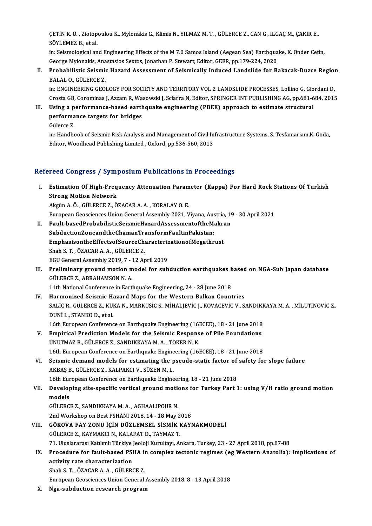ÇETİN K. Ö. , Ziotopoulou K., Mylonakis G., Klimis N., YILMAZ M. T. , GÜLERCE Z., CAN G., ILGAÇ M., ÇAKIR E.,<br>SÖVLEMEZ B. et el CETÍN K. Ö. , Ziotop<br>SÖYLEMEZ B., et al.<br>in: Ssismologisel on CETİN K. Ö. , Ziotopoulou K., Mylonakis G., Klimis N., YILMAZ M. T. , GÜLERCE Z., CAN G., ILGAÇ M., ÇAKIR E.,<br>SÖYLEMEZ B., et al.<br>in: Seismological and Engineering Effects of the M 7.0 Samos Island (Aegean Sea) Earthquake,

SÖYLEMEZ B., et al.<br>in: Seismological and Engineering Effects of the M 7.0 Samos Island (Aegean Sea) Earthqua<br>George Mylonakis, Anastasios Sextos, Jonathan P. Stewart, Editor, GEER, pp.179-224, 2020<br>Probabilistis Seismis H

#### in: Seismological and Engineering Effects of the M 7.0 Samos Island (Aegean Sea) Earthquake, K. Onder Cetin,<br>George Mylonakis, Anastasios Sextos, Jonathan P. Stewart, Editor, GEER, pp.179-224, 2020<br>II. Probabilistic Seismi George Mylonakis, Ana<br><mark>Probabilistic Seismi</mark><br>BALAL O., GÜLERCE Z.<br>in: ENCINEERINC CEO. Probabilistic Seismic Hazard Assessment of Seismically Induced Landslide for Bakacak-Duzce Regiol<br>BALAL O., GÜLERCE Z.<br>in: ENGINEERING GEOLOGY FOR SOCIETY AND TERRITORY VOL 2 LANDSLIDE PROCESSES, Lollino G, Giordani D,<br>Cre

BALAL O., GÜLERCE Z.<br>in: ENGINEERING GEOLOGY FOR SOCIETY AND TERRITORY VOL 2 LANDSLIDE PROCESSES, Lollino G, Giordani D,<br>Crosta GB, Corominas J, Azzam R, Wasowski J, Sciarra N, Editor, SPRINGER INT PUBLISHING AG, pp.681-68 in: ENGINEERING GEOLOGY FOR SOCIETY AND TERRITORY VOL 2 LANDSLIDE PROCESSES, Lollino G, Gio<br>Crosta GB, Corominas J, Azzam R, Wasowski J, Sciarra N, Editor, SPRINGER INT PUBLISHING AG, pp.681-6<br>III. Using a performance-base

#### Crosta GB, Corominas J, Azzam R, Wa<br>Using a performance-based earth<br>performance targets for bridges<br>Cülerce 7 Using a <mark>p</mark><br>performa<br>Gülerce Z.<br>in:Handbe performance targets for bridges<br>Gülerce Z.<br>in: Handbook of Seismic Risk Analysis and Management of Civil Infrastructure Systems, S. Tesfamariam,K. Goda,

Editor, Woodhead Publishing Limited , Oxford, pp.536-560, 2013

#### Refereed Congress / Symposium Publications in Proceedings

efereed Congress / Symposium Publications in Proceedings<br>I. Estimation Of High-Frequency Attenuation Parameter (Kappa) For Hard Rock Stations Of Turkish<br>Strong Metion Network Estimation Of High-Freq<br>Strong Motion Network<br>Almin A.Ö. CÜLEPCE 7.Ö Estimation Of High-Frequency Attenuation Param<br>Strong Motion Network<br>Akgün A. Ö. , GÜLERCE Z., ÖZACAR A. A. , KORALAY O. E.<br>European Coossienses Union Ceneral Assembly 2021, V Strong Motion Network<br>Akgün A. Ö. , GÜLERCE Z., ÖZACAR A. A. , KORALAY O. E.<br>European Geosciences Union General Assembly 2021, Viyana, Austria, 19 - 30 April 2021<br>Fault based BrebabilisticSeismisHarard Assessmente ftbeMakr

Akgün A. Ö. , GÜLERCE Z., ÖZACAR A. A. , KORALAY O. E.<br>European Geosciences Union General Assembly 2021, Viyana, Austria, 19<br>II. Fault-basedProbabilisticSeismicHazardAssessmentoftheMakran<br>SubductionZoneandtheChamanTransfor European Geosciences Union General Assembly 2021, Viyana, Aus<br>Fault-basedProbabilisticSeismicHazardAssessmentoftheMa<br>SubductionZoneandtheChamanTransformFaultinPakistan:<br>EmphasisontheEffectsefSourseCharastorirationefMesathr Fault-basedProbabilisticSeismicHazardAssessmentoftheMakra<br>SubductionZoneandtheChamanTransformFaultinPakistan:<br>EmphasisontheEffectsofSourceCharacterizationofMegathrust<br>Shah S.T. ÖZACAR A.A. CÜLEPCE Z SubductionZoneandtheChamanTra<br>EmphasisontheEffectsofSourceCh<br>Shah S. T. , ÖZACAR A. A. , GÜLERCE Z.<br>ECU Canaral Assambly 2019, 7, 12 Ar EmphasisontheEffectsofSourceCharacteriz<br>Shah S. T. , ÖZACAR A. A. , GÜLERCE Z.<br>EGU General Assembly 2019, 7 - 12 April 2019<br>Preliminary ground mation model for sub

## Shah S. T. , ÖZACAR A. A. , GÜLERCE Z.<br>EGU General Assembly 2019, 7 - 12 April 2019<br>III. Preliminary ground motion model for subduction earthquakes based on NGA-Sub Japan database<br>CÜLERCE Z. APRAHAMSON N.A. EGU General Assembly 2019, 7 - :<br>Preliminary ground motion m<br>GÜLERCE Z., ABRAHAMSON N. A. Preliminary ground motion model for subduction earthquakes b<br>GÜLERCE Z., ABRAHAMSON N. A.<br>11th National Conference in Earthquake Engineering, 24 - 28 June 2018<br>Harmonized Seismis Hazard Mans for the Western Pallsan Count

GÜLERCE Z., ABRAHAMSON N. A.<br>11th National Conference in Earthquake Engineering, 24 - 28 June 2018<br>IV. Harmonized Seismic Hazard Maps for the Western Balkan Countries<br>SALIC B. CÜLERCE 7, VUKA N. MARKUSICS, MUALIEVIC L. KOV 11th National Conference in Earthquake Engineering, 24 - 28 June 2018<br>Harmonized Seismic Hazard Maps for the Western Balkan Countries<br>SALİC R., GÜLERCE Z., KUKA N., MARKUSİC S., MİHALJEVİC J., KOVACEVİC V., SANDIKKAYA M. A Harmonized Seismic H:<br>SALİC R., GÜLERCE Z., KU<br>DUNİ L., STANKO D., et al.<br>16th Euronean Conforenc SALIC R., GÜLERCE Z., KUKA N., MARKUSIC S., MIHALJEVIC J., KOVACEVIC V., SANDIKK<br>DUNI L., STANKO D., et al.<br>16th European Conference on Earthquake Engineering (16ECEE), 18 - 21 June 2018<br>Emnisiaal Bradistian Madels for the DUNI L., STANKO D., et al.<br>16th European Conference on Earthquake Engineering (16ECEE), 18 - 21 June 2018<br>V. Empirical Prediction Models for the Seismic Response of Pile Foundations<br>UNUTMAZE CULERCEZ SANDIKKAYA M.A. TOKER

- 16th European Conference on Earthquake Engineering (16)<br>Empirical Prediction Models for the Seismic Respons<br>UNUTMAZ B., GÜLERCE Z., SANDIKKAYA M. A., TOKER N. K. Empirical Prediction Models for the Seismic Response of Pile Foundations<br>UNUTMAZ B., GÜLERCE Z., SANDIKKAYA M. A. , TOKER N. K.<br>16th European Conference on Earthquake Engineering (16ECEE), 18 - 21 June 2018<br>Seismis demand
- UNUTMAZ B., GÜLERCE Z., SANDIKKAYA M. A. , TOKER N. K.<br>16th European Conference on Earthquake Engineering (16ECEE), 18 21 June 2018<br>VI. Seismic demand models for estimating the pseudo-static factor of safety for slope fa 16th European Conference on Earthquake Engine<br>Seismic demand models for estimating the p<br>AKBAŞ B., GÜLERCE Z., KALPAKCI V., SÜZEN M. L.<br>16th European Conference on Earthquake Engine Seismic demand models for estimating the pseudo-static factor of<br>AKBAŞ B., GÜLERCE Z., KALPAKCI V., SÜZEN M. L.<br>16th European Conference on Earthquake Engineering, 18 - 21 June 2018<br>Developing site specific vertical ground AKBAŞ B., GÜLERCE Z., KALPAKCI V., SÜZEN M. L.<br>16th European Conference on Earthquake Engineering, 18 - 21 June 2018<br>VII. Developing site-specific vertical ground motions for Turkey Part 1: using V/H ratio ground motio

# 16th Eur<br>Develop<br>models<br>Cürepcü Developing site-specific vertical ground motion<br>models<br>GÜLERCE Z., SANDIKKAYA M. A. , AGHAALIPOUR N.<br>2nd Werksbop op Pest PSHANL2018, 14, 19 May 2

models<br>GÜLERCE Z., SANDIKKAYA M. A. , AGHAALIPOUR N.<br>2nd Workshop on Best PSHANI 2018, 14 - 18 May 2018

- VIII. GÖKOVA FAY ZONU İÇİN DÜZLEMSEL SİSMİK KAYNAKMODELİ GÜLERCEZ.,KAYMAKCIN.,KALAFATD.,TAYMAZ T. 71.UluslararasıKatılımlıTürkiye JeolojiKurultayı,Ankara,Turkey,23 -27April2018,pp.87-88 GÜLERCE Z., KAYMAKCI N., KALAFAT D., TAYMAZ T.<br>71. Uluslararası Katılımlı Türkiye Jeoloji Kurultayı, Ankara, Turkey, 23 - 27 April 2018, pp.87-88<br>IX. Procedure for fault-based PSHA in complex tectonic regimes (eg Weste
- 71. Uluslararası Katılımlı Türkiye ]<br>Procedure for fault-based PSI<br>activity rate characterization<br>Shah S.T. ÖZACAR A.A. CÜLER( Procedure for fault-based PSHA in<br>activity rate characterization<br>Shah S. T. , ÖZACAR A. A. , GÜLERCE Z.<br>European Coossionees Union Coneval activity rate characterization<br>Shah S. T. , ÖZACAR A. A. , GÜLERCE Z.<br>European Geosciences Union General Assembly 2018, 8 - 13 April 2018

X. Nga-subduction research program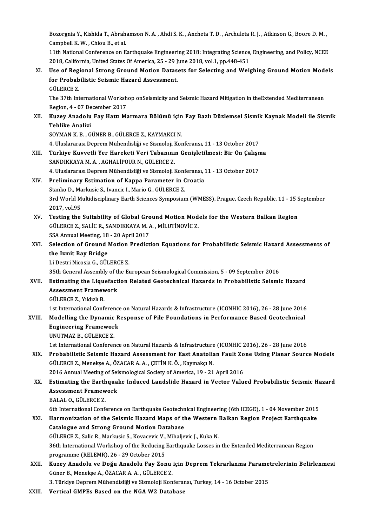Bozorgnia Y., Kishida T., Abrahamson N. A. , Ahdi S. K. , Ancheta T. D. , Archuleta R. J. , Atkinson G., Boore D. M. ,<br>Camphall K. W., Chiou B., et al. Bozorgnia Y., Kishida T., Abrah.<br>Campbell K. W. , Chiou B., et al.<br>11th National Conference on E Bozorgnia Y., Kishida T., Abrahamson N. A. , Ahdi S. K. , Ancheta T. D. , Archuleta R. J. , Atkinson G., Boore D. M. ,<br>Campbell K. W. , Chiou B., et al.<br>11th National Conference on Earthquake Engineering 2018: Integrating

Campbell K. W. , Chiou B., et al.<br>11th National Conference on Earthquake Engineering 2018: Integrating Science,<br>2018, California, United States Of America, 25 - 29 June 2018, vol.1, pp.448-451<br>Hae of Bogional Strong Cround 11th National Conference on Earthquake Engineering 2018: Integrating Science, Engineering, and Policy, NCEE<br>2018, California, United States Of America, 25 - 29 June 2018, vol.1, pp.448-451<br>XI. Use of Regional Strong Ground

2018, California, United States Of America, 25 - 29 J<br>Use of Regional Strong Ground Motion Datas<br>for Probabilistic Seismic Hazard Assessment.<br>CÜLEPCE 7 Use of Reg<br>for Probab<br>GÜLERCE Z.<br><sup>The 27th Int</sup>

for Probabilistic Seismic Hazard Assessment.<br>GÜLERCE Z.<br>The 37th International Workshop onSeismicity and Seismic Hazard Mitigation in theExtended Mediterranean<br>Region 4, .07 December 2017 GÜLERCE Z.<br>The 37th International Worksh<br>Region, 4 - 07 December 2017<br>Kurev Anadelu Fey Hattı M The 37th International Workshop onSeismicity and Seismic Hazard Mitigation in theExtended Mediterranean<br>Region, 4 - 07 December 2017<br>XII. Kuzey Anadolu Fay Hattı Marmara Bölümü için Fay Bazlı Düzlemsel Sismik Kaynak Modeli

#### Region, 4 - 07 De<br><mark>Kuzey Anadolu</mark><br>Tehlike Analizi<br>SOVMAN*V* P Kuzey Anadolu Fay Hattı Marmara Bölümü için<br>Tehlike Analizi<br>SOYMAN K. B. , GÜNER B., GÜLERCE Z., KAYMAKCI N.<br>4. Uluslarares: Dannam Mühandisliği ve Sismolaji Kar Tehlike Analizi<br>SOYMAN K. B. , GÜNER B., GÜLERCE Z., KAYMAKCI N.<br>4. Uluslararası Deprem Mühendisliği ve Sismoloji Konferansı, 11 - 13 October 2017

## SOYMAN K. B. , GÜNER B., GÜLERCE Z., KAYMAKCI N.<br>4. Uluslararası Deprem Mühendisliği ve Sismoloji Konferansı, 11 - 13 October 2017<br>XIII. Türkiye Kuvvetli Yer Hareketi Veri Tabanının Genişletilmesi: Bir Ön Çalışma<br>SANDI 4. Uluslararası Deprem Mühendisliği ve Sismoloji I<br>Türkiye Kuvvetli Yer Hareketi Veri Tabanını<br>SANDIKKAYA M. A. , AGHALİPOUR N., GÜLERCE Z.<br>4. Uluslararası Deprem Mühandisliği ve Sismoloji I Türkiye Kuvvetli Yer Hareketi Veri Tabanının Genişletilmesi: Bir Ön Çalışn<br>SANDIKKAYA M. A. , AGHALİPOUR N., GÜLERCE Z.<br>4. Uluslararası Deprem Mühendisliği ve Sismoloji Konferansı, 11 - 13 October 2017<br>Preliminary Estimati

#### SANDIKKAYA M. A. , AGHALİPOUR N., GÜLERCE Z.<br>4. Uluslararası Deprem Mühendisliği ve Sismoloji Konferansı, :<br>XIV. Preliminary Estimation of Kappa Parameter in Croatia<br>Stanka D. Markusia S. Ivansia L. Maria G. GÜLERCE Z. 4. Uluslararası Deprem Mühendisliği ve Sismoloji Konf<br>Preliminary Estimation of Kappa Parameter in C<br>Stanko D., Markusic S., Ivancic I., Mario G., GÜLERCE Z.<br>2rd Werld Multidissiplinary Farth Ssianses Sympasium Preliminary Estimation of Kappa Parameter in Croatia<br>Stanko D., Markusic S., Ivancic I., Mario G., GÜLERCE Z.<br>3rd World Multidisciplinary Earth Sciences Symposium (WMESS), Prague, Czech Republic, 11 - 15 September<br>2017 .ve Stanko D., Ma<br>3rd World M<br>2017, vol.95<br>Testing the

3rd World Multidisciplinary Earth Sciences Symposium (WMESS), Prague, Czech Republic, 11 - 15 S<br>2017, vol.95<br>XV. Testing the Suitability of Global Ground Motion Models for the Western Balkan Region<br>CULERCEZ, SALIC B, SANDI 2017, vol.95<br>Testing the Suitability of Global Ground Motion Mod<br>GÜLERCE Z., SALİC R., SANDIKKAYA M. A. , MİLUTİNOVİC Z.<br>SSA Annuel Mesting 19, ...? Anril 2017 Testing the Suitability of Global Gro<br>GÜLERCE Z., SALIC R., SANDIKKAYA M. A<br>SSA Annual Meeting, 18 - 20 April 2017<br>Selection of Cround Metion Prodict GÜLERCE Z., SALİC R., SANDIKKAYA M. A. , MİLUTİNOVİC Z.<br>SSA Annual Meeting, 18 - 20 April 2017<br>XVI. Selection of Ground Motion Prediction Equations for Probabilistic Seismic Hazard Assessments of<br>the Ismit Bay Pridge

## SSA Annual Meeting, 18<br>Selection of Ground l<br>the Izmit Bay Bridge<br>Li Deetri Nisesia G. Cüll Selection of Ground Motion<br>the Izmit Bay Bridge<br>Li Destri Nicosia G., GÜLERCE Z.<br>25th Conoral Assembly of the E. the Izmit Bay Bridge<br>Li Destri Nicosia G., GÜLERCE Z.<br>35th General Assembly of the European Seismological Commission, 5 - 09 September 2016<br>Estimating the Liauefection Belated Cestschnisel Herords in Probebilistic Seismi

#### Li Destri Nicosia G., GÜLERCE Z.<br>35th General Assembly of the European Seismological Commission, 5 - 09 September 2016<br>XVII. Estimating the Liquefaction Related Geotechnical Hazards in Probabilistic Seismic Hazard<br>Assessme 35th General Assembly of the<br>Estimating the Liquefact<br>Assessment Framework<br>CÜLEPCE 7 - Vildrh P Estimating the Lique<br>Assessment Framev<br>GÜLERCE Z., Yıldızlı B.<br>1st International Conf Assessment Framework<br>GÜLERCE Z., Yıldızlı B.<br>1st International Conference on Natural Hazards & Infrastructure (ICONHIC 2016), 26 - 28 June 2016

#### GÜLERCE Z., Yıldızlı B.<br>1st International Conference on Natural Hazards & Infrastructure (ICONHIC 2016), 26 - 28 June 2016<br>XVIII. Modelling the Dynamic Response of Pile Foundations in Performance Based Geotechnical 1st International Conference<br>Modelling the Dynamic R<br>Engineering Framework<br>UNUTMAZ B. CÜLEDCE Z Modelling the Dynamic<br>Engineering Framewor<br>UNUTMAZ B., GÜLERCE Z.<br>1st International Conferen Engineering Framework<br>UNUTMAZ B., GÜLERCE Z.<br>1st International Conference on Natural Hazards & Infrastructure (ICONHIC 2016), 26 - 28 June 2016<br>Probobilistic Seismis Harard Assessment for Fest Anatolian Fault Zone Heing Pl

## UNUTMAZ B., GÜLERCE Z.<br>1st International Conference on Natural Hazards & Infrastructure (ICONHIC 2016), 26 - 28 June 2016<br>XIX. Probabilistic Seismic Hazard Assessment for East Anatolian Fault Zone Using Planar Source Model 1st International Conference on Natural Hazards & Infrastructure<br>Probabilistic Seismic Hazard Assessment for East Anatolia<br>GÜLERCE Z., Menekşe A., ÖZACAR A. A. , ÇETİN K. Ö. , Kaymakçı N.<br>2016 Annual Meeting of Seismologic Probabilistic Seismic Hazard Assessment for East Anatolian Fault Zo<br>GÜLERCE Z., Menekşe A., ÖZACAR A. A. , ÇETİN K. Ö. , Kaymakçı N.<br>2016 Annual Meeting of Seismological Society of America, 19 - 21 April 2016<br>Estimating th

#### GÜLERCE Z., Menekşe A., ÖZACAR A. A. , ÇETİN K. Ö. , Kaymakçı N.<br>2016 Annual Meeting of Seismological Society of America, 19 - 21 April 2016<br>XX. Estimating the Earthquake Induced Landslide Hazard in Vector Valued Proba 2016 Annual Meeting of Sei<br>Estimating the Earthqual<br>Assessment Framework<br>PALALO CÜLEPCE 7 Estimating the Earth<br>Assessment Framew<br>BALAL O., GÜLERCE Z.<br>Eth International Confe Assessment Framework<br>BALAL O., GÜLERCE Z.<br>6th International Conference on Earthquake Geotechnical Engineering (6th ICEGE), 1 - 04 November 2015<br>Harmonization of the Seismis Hazard Mans of the Western Ballan Begien Breiest

## BALAL O., GÜLERCE Z.<br>6th International Conference on Earthquake Geotechnical Engineering (6th ICEGE), 1 - 04 November 2015<br>XXI. Harmonization of the Seismic Hazard Maps of the Western Balkan Region Project Earthquake<br>Catal 6th International Conference on Earthquake Geotechn<br>Harmonization of the Seismic Hazard Maps of the<br>Catalogue and Strong Ground Motion Database Harmonization of the Seismic Hazard Maps of the Western 1<br>Catalogue and Strong Ground Motion Database<br>GÜLERCE Z., Salic R., Markusic S., Kovacevic V., Mihaljevic J., Kuka N.<br>26th International Werkshap of the Bedusing Fart

Catalogue and Strong Ground Motion Database<br>36th International Workshop of the Reducing Earthquake Losses in the Extended Mediterranean Region<br>36th International Workshop of the Reducing Earthquake Losses in the Extended M GÜLERCE Z., Salic R., Markusic S., Kovacevic V., Mihaljevic J., Kuka N.

36th International Workshop of the Reducing Earthquake Losses in the Extended Mediterranean Region<br>programme (RELEMR), 26 - 29 October 2015<br>XXII. Kuzey Anadolu ve Doğu Anadolu Fay Zonu için Deprem Tekrarlanma Parametreleri programme (RELEMR), 26 - 29 October 2015<br><mark>Kuzey Anadolu ve Doğu Anadolu Fay Zonu</mark><br>Güner B., Menekşe A., ÖZACAR A. A. , GÜLERCE Z.<br><sup>2.</sup> Türkiye Denrem Mühendieliği ve Sismeleji Ken Kuzey Anadolu ve Doğu Anadolu Fay Zonu için Deprem Tekrarlanma Parame<br>Güner B., Menekşe A., ÖZACAR A. A. , GÜLERCE Z.<br>3. Türkiye Deprem Mühendisliği ve Sismoloji Konferansı, Turkey, 14 - 16 October 2015<br>Vertisel GMBEs Bese

Güner B., Menekşe A., ÖZACAR A. A. , GÜLERCE Z.<br>3. Türkiye Deprem Mühendisliği ve Sismoloji Konferansı, Turkey, 14 - 16 October 2015<br>XXIII. Vertical GMPEs Based on the NGA W2 Database